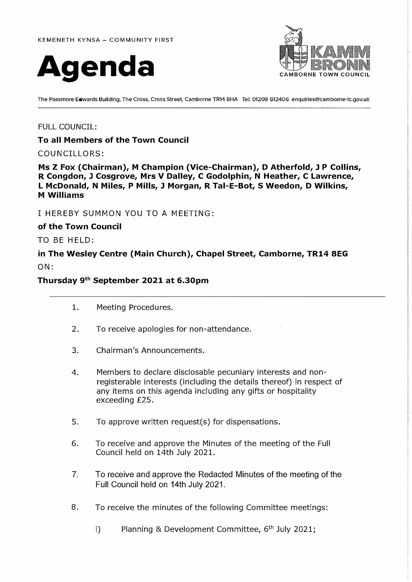



**The Passmore Edwards Bulldlng, The Cross, Cross Street, Camborne TR14 8HA Tel: 01209 612406 enqulrles@camborne-tc.gov.uk** 

# FULL COUNCIL:

**To all Members of the Town Council** 

### COUNCILLORS:

**Ms Z Fox (Chairman), M Champion (Vice-Chairman), D Atherfold, J P Collins, R Congdon, J Cosgrove, Mrs V Dalley, C Godolphin, N Heather, C Lawrence, L McDonald, N Miles, P Mills, J Morgan, R Tal-E-Bot, S Weedon, D Wilkins, M Williams** 

I HEREBY SUMMON YOU TO A MEETING:

**of the Town Council** 

TO BE HELD:

**in The Wesley Centre (Main Church), Chapel Street, Camborne, TR14 SEG**  ON:

# **Thursday 9 th September 2021 at 6.30pm**

- 1. Meeting Procedures.
- 2. To receive apologies for non-attendance.
- 3. Chairman's Announcements.
- 4. Members to declare disclosable pecuniary interests and nonregisterable interests (including the details thereof) in respect of any items on this agenda including any gifts or hospitality exceeding £25.
- 5. To approve written request(s) for dispensations.
- 6. To receive and approve the Minutes of the meeting of the Full Council held on 14th July 2021.
- 7. To receive and approve the Redacted Minutes of the meeting of the Full Council held on 14th July 2021.
- 8. To receive the minutes of the following Committee meetings:
	- i) Planning & Development Committee, 6 **th** July 2021;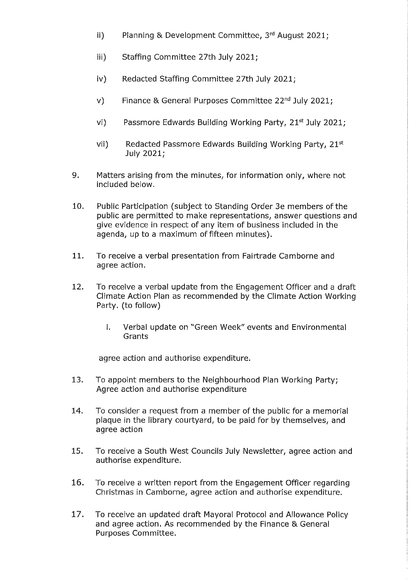- Planning & Development Committee, 3rd August 2021;  $\mathbf{ii}$
- Staffing Committee 27th July 2021;  $iii)$
- $iv)$ Redacted Staffing Committee 27th July 2021;
- Finance & General Purposes Committee 22<sup>nd</sup> July 2021;  $V)$
- Passmore Edwards Building Working Party, 21<sup>st</sup> July 2021;  $Vi$ )
- vii) Redacted Passmore Edwards Building Working Party, 21st July 2021;
- 9. Matters arising from the minutes, for information only, where not included below.
- 10. Public Participation (subject to Standing Order 3e members of the public are permitted to make representations, answer questions and give evidence in respect of any item of business included in the agenda, up to a maximum of fifteen minutes).
- 11. To receive a verbal presentation from Fairtrade Camborne and agree action.
- $12.$ To receive a verbal update from the Engagement Officer and a draft Climate Action Plan as recommended by the Climate Action Working Party. (to follow)
	- Ĺ. Verbal update on "Green Week" events and Environmental Grants

agree action and authorise expenditure.

- 13. To appoint members to the Neighbourhood Plan Working Party; Agree action and authorise expenditure
- 14. To consider a request from a member of the public for a memorial plaque in the library courtyard, to be paid for by themselves, and agree action
- 15. To receive a South West Councils July Newsletter, agree action and authorise expenditure.
- 16. To receive a written report from the Engagement Officer regarding Christmas in Camborne, agree action and authorise expenditure.
- 17. To receive an updated draft Mayoral Protocol and Allowance Policy and agree action. As recommended by the Finance & General Purposes Committee.